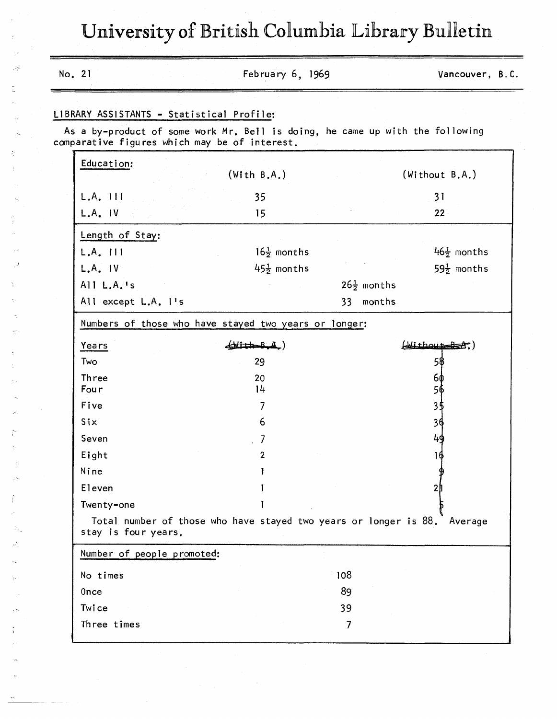University of British Columbia Library Bulletin

|                            | LIBRARY ASSISTANTS - Statistical Profile:                                                                                      |                           |                        |
|----------------------------|--------------------------------------------------------------------------------------------------------------------------------|---------------------------|------------------------|
|                            | As a by-product of some work Mr. Bell is doing, he came up with the following<br>comparative figures which may be of interest. |                           |                        |
| Education:                 | (With B.A.)                                                                                                                    |                           | (Without B.A.)         |
| $L.A.$ $H$                 | 35                                                                                                                             |                           | 31                     |
| $L.A.$ $IV$                | 15                                                                                                                             |                           | 22                     |
| Length of Stay:            |                                                                                                                                |                           |                        |
| $L.A.$ $111$               | $16\frac{1}{2}$ months                                                                                                         |                           | $46\frac{1}{2}$ months |
| $L.A.$ $IV$                | $45\frac{1}{2}$ months                                                                                                         |                           | $59\frac{1}{2}$ months |
| All L.A.'s                 |                                                                                                                                | $26\frac{1}{2}$ months    |                        |
| All except L.A. I's        |                                                                                                                                | months<br>33 <sup>2</sup> |                        |
|                            | Numbers of those who have stayed two years or longer:                                                                          |                           |                        |
| Years                      | $($ With-B $A$                                                                                                                 |                           | $(\frac{1}{2})$        |
| Two                        | 29                                                                                                                             |                           | 5\$                    |
| Three                      | 20                                                                                                                             |                           | 6ф                     |
| Fou r                      | 14                                                                                                                             |                           | 5ф                     |
| Five                       | 7                                                                                                                              |                           | 3\$                    |
| Six                        | 6                                                                                                                              |                           | 34                     |
| Seven                      |                                                                                                                                |                           | 49                     |
| Eight                      | $\mathbf{2}$                                                                                                                   |                           | 16                     |
| Nine                       |                                                                                                                                |                           |                        |
| Eleven                     |                                                                                                                                |                           |                        |
| Twenty-one                 |                                                                                                                                |                           |                        |
| stay is four years.        | Total number of those who have stayed two years or longer is 88. Average                                                       |                           |                        |
| Number of people promoted: |                                                                                                                                |                           |                        |
| No times                   |                                                                                                                                | 108                       |                        |
| <b>Once</b>                |                                                                                                                                | 89                        |                        |
| Twice                      |                                                                                                                                | 39                        |                        |
| Three times                |                                                                                                                                | 7                         |                        |